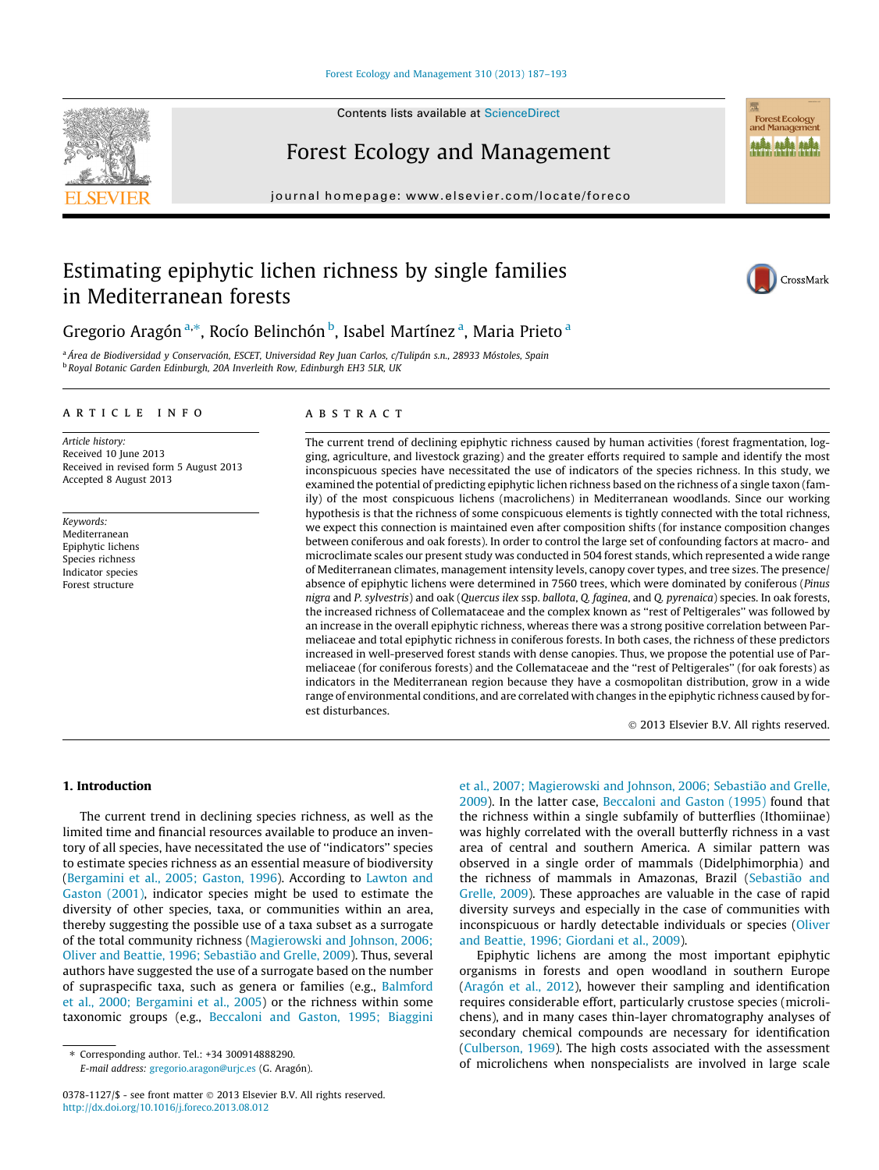## [Forest Ecology and Management 310 \(2013\) 187–193](http://dx.doi.org/10.1016/j.foreco.2013.08.012)



# Forest Ecology and Management

journal homepage: [www.elsevier.com/locate/foreco](http://www.elsevier.com/locate/foreco)

# Estimating epiphytic lichen richness by single families in Mediterranean forests



Forest Ecology<br>and Management **ALÂN ALÂN ALÂN** 

## Gregorio Aragón <sup>a,</sup>\*, Rocío Belinchón <sup>b</sup>, Isabel Martínez <sup>a</sup>, Maria Prieto <sup>a</sup>

<sup>a</sup> Área de Biodiversidad y Conservación, ESCET, Universidad Rey Juan Carlos, c/Tulipán s.n., 28933 Móstoles, Spain <sup>b</sup> Royal Botanic Garden Edinburgh, 20A Inverleith Row, Edinburgh EH3 5LR, UK

## article info

Article history: Received 10 June 2013 Received in revised form 5 August 2013 Accepted 8 August 2013

Keywords: Mediterranean Epiphytic lichens Species richness Indicator species Forest structure

## **ABSTRACT**

The current trend of declining epiphytic richness caused by human activities (forest fragmentation, logging, agriculture, and livestock grazing) and the greater efforts required to sample and identify the most inconspicuous species have necessitated the use of indicators of the species richness. In this study, we examined the potential of predicting epiphytic lichen richness based on the richness of a single taxon (family) of the most conspicuous lichens (macrolichens) in Mediterranean woodlands. Since our working hypothesis is that the richness of some conspicuous elements is tightly connected with the total richness, we expect this connection is maintained even after composition shifts (for instance composition changes between coniferous and oak forests). In order to control the large set of confounding factors at macro- and microclimate scales our present study was conducted in 504 forest stands, which represented a wide range of Mediterranean climates, management intensity levels, canopy cover types, and tree sizes. The presence/ absence of epiphytic lichens were determined in 7560 trees, which were dominated by coniferous (Pinus nigra and P. sylvestris) and oak (Quercus ilex ssp. ballota, Q. faginea, and Q. pyrenaica) species. In oak forests, the increased richness of Collemataceae and the complex known as ''rest of Peltigerales'' was followed by an increase in the overall epiphytic richness, whereas there was a strong positive correlation between Parmeliaceae and total epiphytic richness in coniferous forests. In both cases, the richness of these predictors increased in well-preserved forest stands with dense canopies. Thus, we propose the potential use of Parmeliaceae (for coniferous forests) and the Collemataceae and the ''rest of Peltigerales'' (for oak forests) as indicators in the Mediterranean region because they have a cosmopolitan distribution, grow in a wide range of environmental conditions, and are correlated with changes in the epiphytic richness caused by forest disturbances.

- 2013 Elsevier B.V. All rights reserved.

## 1. Introduction

The current trend in declining species richness, as well as the limited time and financial resources available to produce an inventory of all species, have necessitated the use of ''indicators'' species to estimate species richness as an essential measure of biodiversity ([Bergamini et al., 2005; Gaston, 1996\)](#page-6-0). According to [Lawton and](#page-6-0) [Gaston \(2001\),](#page-6-0) indicator species might be used to estimate the diversity of other species, taxa, or communities within an area, thereby suggesting the possible use of a taxa subset as a surrogate of the total community richness ([Magierowski and Johnson, 2006;](#page-6-0) [Oliver and Beattie, 1996; Sebastião and Grelle, 2009\)](#page-6-0). Thus, several authors have suggested the use of a surrogate based on the number of supraspecific taxa, such as genera or families (e.g., [Balmford](#page-6-0) [et al., 2000; Bergamini et al., 2005\)](#page-6-0) or the richness within some taxonomic groups (e.g., [Beccaloni and Gaston, 1995; Biaggini](#page-6-0)

⇑ Corresponding author. Tel.: +34 300914888290. E-mail address: [gregorio.aragon@urjc.es](mailto:gregorio.aragon@urjc.es) (G. Aragón). [et al., 2007; Magierowski and Johnson, 2006; Sebastião and Grelle,](#page-6-0) [2009](#page-6-0)). In the latter case, [Beccaloni and Gaston \(1995\)](#page-6-0) found that the richness within a single subfamily of butterflies (Ithomiinae) was highly correlated with the overall butterfly richness in a vast area of central and southern America. A similar pattern was observed in a single order of mammals (Didelphimorphia) and the richness of mammals in Amazonas, Brazil ([Sebastião and](#page-6-0) [Grelle, 2009](#page-6-0)). These approaches are valuable in the case of rapid diversity surveys and especially in the case of communities with inconspicuous or hardly detectable individuals or species ([Oliver](#page-6-0) [and Beattie, 1996; Giordani et al., 2009](#page-6-0)).

Epiphytic lichens are among the most important epiphytic organisms in forests and open woodland in southern Europe ([Aragón et al., 2012](#page-5-0)), however their sampling and identification requires considerable effort, particularly crustose species (microlichens), and in many cases thin-layer chromatography analyses of secondary chemical compounds are necessary for identification ([Culberson, 1969](#page-6-0)). The high costs associated with the assessment of microlichens when nonspecialists are involved in large scale



<sup>0378-1127/\$ -</sup> see front matter © 2013 Elsevier B.V. All rights reserved. <http://dx.doi.org/10.1016/j.foreco.2013.08.012>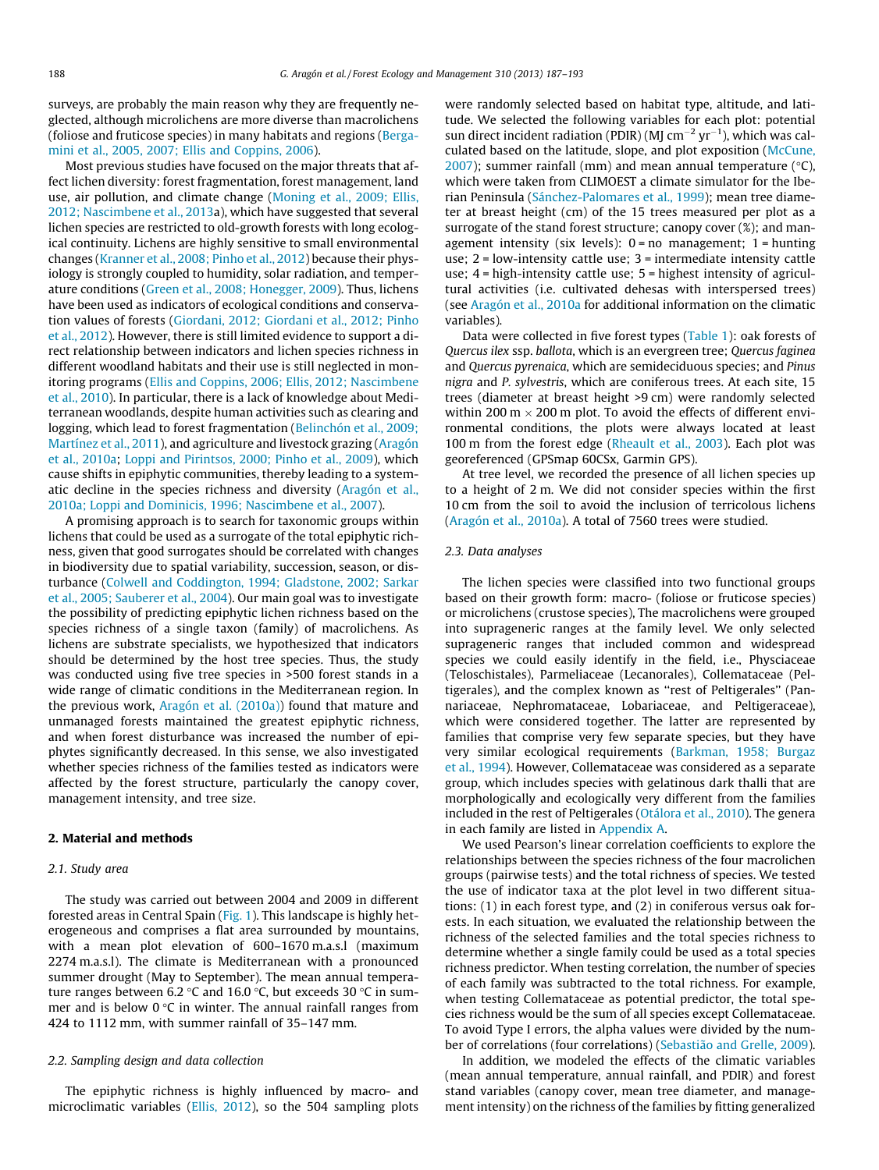surveys, are probably the main reason why they are frequently neglected, although microlichens are more diverse than macrolichens (foliose and fruticose species) in many habitats and regions [\(Berga](#page-6-0)[mini et al., 2005, 2007; Ellis and Coppins, 2006\)](#page-6-0).

Most previous studies have focused on the major threats that affect lichen diversity: forest fragmentation, forest management, land use, air pollution, and climate change ([Moning et al., 2009; Ellis,](#page-6-0) [2012; Nascimbene et al., 2013a](#page-6-0)), which have suggested that several lichen species are restricted to old-growth forests with long ecological continuity. Lichens are highly sensitive to small environmental changes ([Kranner et al., 2008; Pinho et al., 2012\)](#page-6-0) because their physiology is strongly coupled to humidity, solar radiation, and temperature conditions [\(Green et al., 2008; Honegger, 2009](#page-6-0)). Thus, lichens have been used as indicators of ecological conditions and conservation values of forests ([Giordani, 2012; Giordani et al., 2012; Pinho](#page-6-0) [et al., 2012](#page-6-0)). However, there is still limited evidence to support a direct relationship between indicators and lichen species richness in different woodland habitats and their use is still neglected in monitoring programs [\(Ellis and Coppins, 2006; Ellis, 2012; Nascimbene](#page-6-0) [et al., 2010\)](#page-6-0). In particular, there is a lack of knowledge about Mediterranean woodlands, despite human activities such as clearing and logging, which lead to forest fragmentation [\(Belinchón et al., 2009;](#page-6-0) [Martínez et al., 2011](#page-6-0)), and agriculture and livestock grazing ([Aragón](#page-5-0) [et al., 2010a](#page-5-0); [Loppi and Pirintsos, 2000; Pinho et al., 2009\)](#page-6-0), which cause shifts in epiphytic communities, thereby leading to a systematic decline in the species richness and diversity ([Aragón et al.,](#page-5-0) [2010a; Loppi and Dominicis, 1996; Nascimbene et al., 2007](#page-5-0)).

A promising approach is to search for taxonomic groups within lichens that could be used as a surrogate of the total epiphytic richness, given that good surrogates should be correlated with changes in biodiversity due to spatial variability, succession, season, or disturbance [\(Colwell and Coddington, 1994; Gladstone, 2002; Sarkar](#page-6-0) [et al., 2005; Sauberer et al., 2004](#page-6-0)). Our main goal was to investigate the possibility of predicting epiphytic lichen richness based on the species richness of a single taxon (family) of macrolichens. As lichens are substrate specialists, we hypothesized that indicators should be determined by the host tree species. Thus, the study was conducted using five tree species in >500 forest stands in a wide range of climatic conditions in the Mediterranean region. In the previous work, [Aragón et al. \(2010a\)\)](#page-5-0) found that mature and unmanaged forests maintained the greatest epiphytic richness, and when forest disturbance was increased the number of epiphytes significantly decreased. In this sense, we also investigated whether species richness of the families tested as indicators were affected by the forest structure, particularly the canopy cover, management intensity, and tree size.

## 2. Material and methods

## 2.1. Study area

The study was carried out between 2004 and 2009 in different forested areas in Central Spain [\(Fig. 1\)](#page-2-0). This landscape is highly heterogeneous and comprises a flat area surrounded by mountains, with a mean plot elevation of 600–1670 m.a.s.l (maximum 2274 m.a.s.l). The climate is Mediterranean with a pronounced summer drought (May to September). The mean annual temperature ranges between 6.2 °C and 16.0 °C, but exceeds 30 °C in summer and is below  $0^{\circ}C$  in winter. The annual rainfall ranges from 424 to 1112 mm, with summer rainfall of 35–147 mm.

#### 2.2. Sampling design and data collection

The epiphytic richness is highly influenced by macro- and microclimatic variables ([Ellis, 2012](#page-6-0)), so the 504 sampling plots were randomly selected based on habitat type, altitude, and latitude. We selected the following variables for each plot: potential sun direct incident radiation (PDIR) (MJ cm<sup> $-2$ </sup> yr $^{-1}$ ), which was calculated based on the latitude, slope, and plot exposition [\(McCune,](#page-6-0)  $2007$ ); summer rainfall (mm) and mean annual temperature ( $°C$ ), which were taken from CLIMOEST a climate simulator for the Iberian Peninsula ([Sánchez-Palomares et al., 1999](#page-6-0)); mean tree diameter at breast height (cm) of the 15 trees measured per plot as a surrogate of the stand forest structure; canopy cover (%); and management intensity (six levels):  $0 = no$  management;  $1 =$  hunting use; 2 = low-intensity cattle use; 3 = intermediate intensity cattle use; 4 = high-intensity cattle use; 5 = highest intensity of agricultural activities (i.e. cultivated dehesas with interspersed trees) (see [Aragón et al., 2010a](#page-5-0) for additional information on the climatic variables).

Data were collected in five forest types [\(Table 1\)](#page-2-0): oak forests of Quercus ilex ssp. ballota, which is an evergreen tree; Quercus faginea and Quercus pyrenaica, which are semideciduous species; and Pinus nigra and P. sylvestris, which are coniferous trees. At each site, 15 trees (diameter at breast height >9 cm) were randomly selected within 200 m  $\times$  200 m plot. To avoid the effects of different environmental conditions, the plots were always located at least 100 m from the forest edge ([Rheault et al., 2003](#page-6-0)). Each plot was georeferenced (GPSmap 60CSx, Garmin GPS).

At tree level, we recorded the presence of all lichen species up to a height of 2 m. We did not consider species within the first 10 cm from the soil to avoid the inclusion of terricolous lichens ([Aragón et al., 2010a\)](#page-5-0). A total of 7560 trees were studied.

#### 2.3. Data analyses

The lichen species were classified into two functional groups based on their growth form: macro- (foliose or fruticose species) or microlichens (crustose species), The macrolichens were grouped into suprageneric ranges at the family level. We only selected suprageneric ranges that included common and widespread species we could easily identify in the field, i.e., Physciaceae (Teloschistales), Parmeliaceae (Lecanorales), Collemataceae (Peltigerales), and the complex known as ''rest of Peltigerales'' (Pannariaceae, Nephromataceae, Lobariaceae, and Peltigeraceae), which were considered together. The latter are represented by families that comprise very few separate species, but they have very similar ecological requirements [\(Barkman, 1958; Burgaz](#page-6-0) [et al., 1994\)](#page-6-0). However, Collemataceae was considered as a separate group, which includes species with gelatinous dark thalli that are morphologically and ecologically very different from the families included in the rest of Peltigerales [\(Otálora et al., 2010\)](#page-6-0). The genera in each family are listed in [Appendix A](#page-5-0).

We used Pearson's linear correlation coefficients to explore the relationships between the species richness of the four macrolichen groups (pairwise tests) and the total richness of species. We tested the use of indicator taxa at the plot level in two different situations: (1) in each forest type, and (2) in coniferous versus oak forests. In each situation, we evaluated the relationship between the richness of the selected families and the total species richness to determine whether a single family could be used as a total species richness predictor. When testing correlation, the number of species of each family was subtracted to the total richness. For example, when testing Collemataceae as potential predictor, the total species richness would be the sum of all species except Collemataceae. To avoid Type I errors, the alpha values were divided by the number of correlations (four correlations) ([Sebastião and Grelle, 2009\)](#page-6-0).

In addition, we modeled the effects of the climatic variables (mean annual temperature, annual rainfall, and PDIR) and forest stand variables (canopy cover, mean tree diameter, and management intensity) on the richness of the families by fitting generalized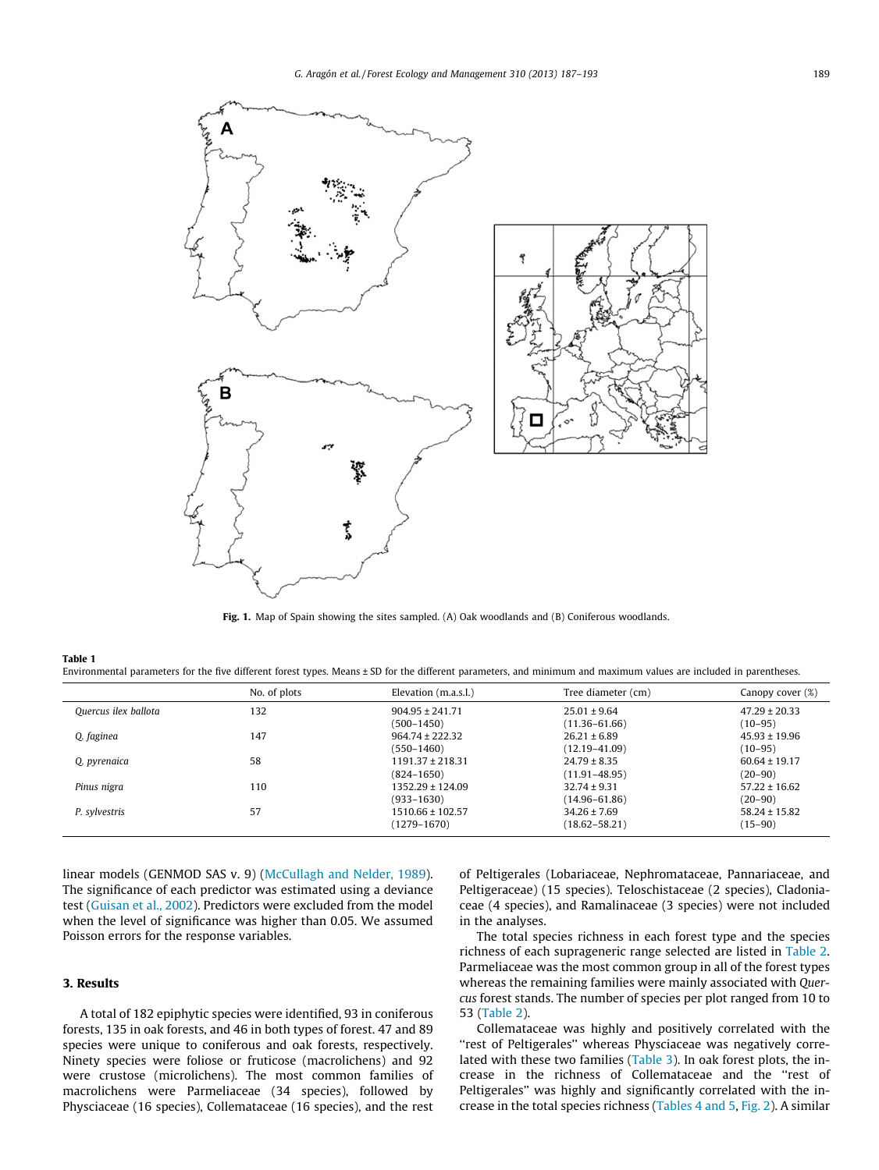<span id="page-2-0"></span>

Fig. 1. Map of Spain showing the sites sampled. (A) Oak woodlands and (B) Coniferous woodlands.

#### Table 1

Environmental parameters for the five different forest types. Means ± SD for the different parameters, and minimum and maximum values are included in parentheses.

|                      | No. of plots | Elevation (m.a.s.l.) | Tree diameter (cm) | Canopy cover (%)  |
|----------------------|--------------|----------------------|--------------------|-------------------|
| Ouercus ilex ballota | 132          | $904.95 \pm 241.71$  | $25.01 \pm 9.64$   | $47.29 \pm 20.33$ |
|                      |              | (500–1450)           | $(11.36 - 61.66)$  | (10–95)           |
| O. faginea           | 147          | $964.74 \pm 222.32$  | $26.21 \pm 6.89$   | $45.93 \pm 19.96$ |
|                      |              | (550–1460)           | $(12.19 - 41.09)$  | $(10 - 95)$       |
| O. pyrenaica         | 58           | $1191.37 \pm 218.31$ | $24.79 \pm 8.35$   | $60.64 \pm 19.17$ |
|                      |              | (824–1650)           | $(11.91 - 48.95)$  | $(20 - 90)$       |
| Pinus nigra          | 110          | $1352.29 \pm 124.09$ | $32.74 \pm 9.31$   | $57.22 \pm 16.62$ |
|                      |              | $(933 - 1630)$       | $(14.96 - 61.86)$  | $(20 - 90)$       |
| P. sylvestris        | 57           | $1510.66 \pm 102.57$ | $34.26 \pm 7.69$   | $58.24 \pm 15.82$ |
|                      |              | (1279–1670)          | $(18.62 - 58.21)$  | (15–90)           |

linear models (GENMOD SAS v. 9) [\(McCullagh and Nelder, 1989\)](#page-6-0). The significance of each predictor was estimated using a deviance test ([Guisan et al., 2002\)](#page-6-0). Predictors were excluded from the model when the level of significance was higher than 0.05. We assumed Poisson errors for the response variables.

## 3. Results

A total of 182 epiphytic species were identified, 93 in coniferous forests, 135 in oak forests, and 46 in both types of forest. 47 and 89 species were unique to coniferous and oak forests, respectively. Ninety species were foliose or fruticose (macrolichens) and 92 were crustose (microlichens). The most common families of macrolichens were Parmeliaceae (34 species), followed by Physciaceae (16 species), Collemataceae (16 species), and the rest of Peltigerales (Lobariaceae, Nephromataceae, Pannariaceae, and Peltigeraceae) (15 species). Teloschistaceae (2 species), Cladoniaceae (4 species), and Ramalinaceae (3 species) were not included in the analyses.

The total species richness in each forest type and the species richness of each suprageneric range selected are listed in [Table 2.](#page-3-0) Parmeliaceae was the most common group in all of the forest types whereas the remaining families were mainly associated with Quercus forest stands. The number of species per plot ranged from 10 to 53 ([Table 2\)](#page-3-0).

Collemataceae was highly and positively correlated with the "rest of Peltigerales" whereas Physciaceae was negatively correlated with these two families [\(Table 3](#page-3-0)). In oak forest plots, the increase in the richness of Collemataceae and the ''rest of Peltigerales'' was highly and significantly correlated with the increase in the total species richness [\(Tables 4 and 5,](#page-3-0) [Fig. 2](#page-4-0)). A similar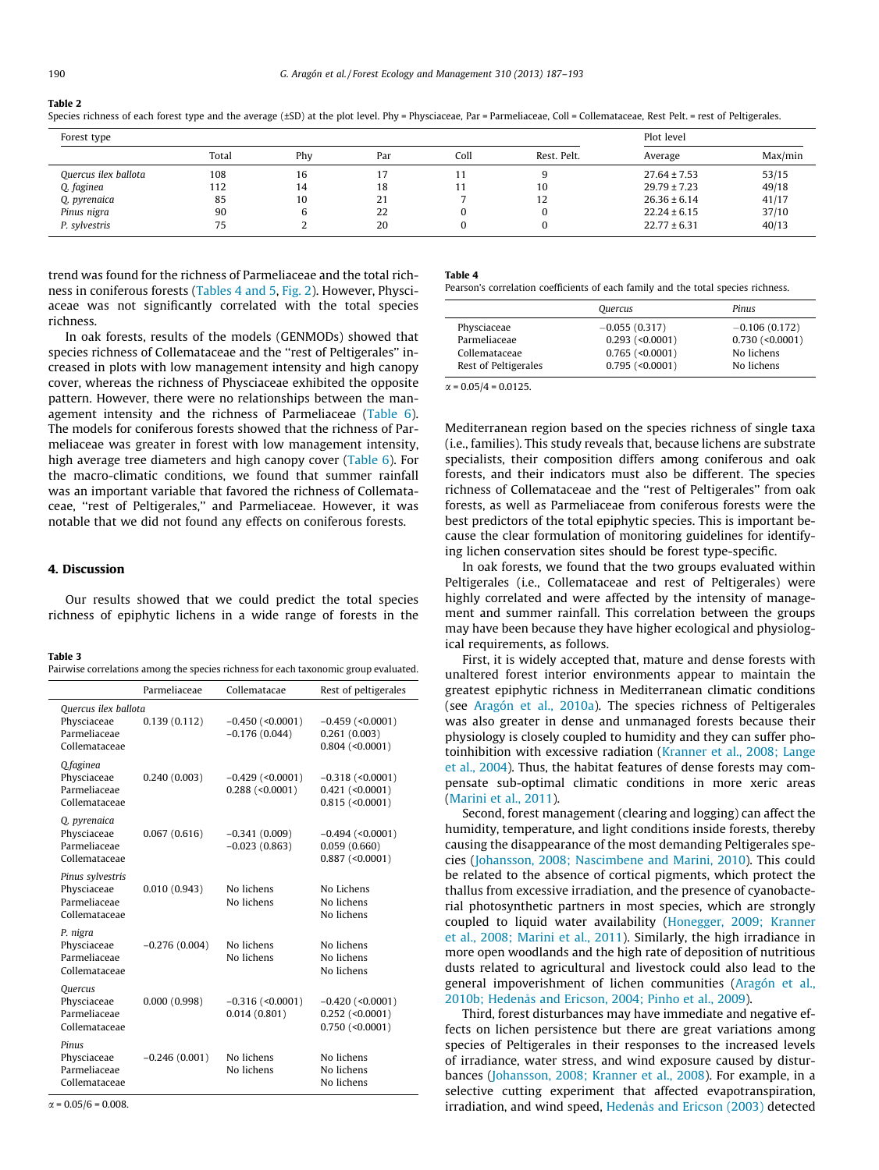#### <span id="page-3-0"></span>Table 2

|--|

| Forest type          |       |     |     |      | Plot level  |                  |         |
|----------------------|-------|-----|-----|------|-------------|------------------|---------|
|                      | Total | Phy | Par | Coll | Rest. Pelt. | Average          | Max/min |
| Quercus ilex ballota | 108   | 16  | .,  | 11   | Ч           | $27.64 \pm 7.53$ | 53/15   |
| Q. faginea           | 112   | 14  | 18  | 11   | 10          | $29.79 \pm 7.23$ | 49/18   |
| Q. pyrenaica         | 85    | 10  | 21  |      | 12          | $26.36 \pm 6.14$ | 41/17   |
| Pinus nigra          | 90    |     | 22  | υ    | U           | $22.24 \pm 6.15$ | 37/10   |
| P. sylvestris        | 75    |     | 20  | u    |             | $22.77 \pm 6.31$ | 40/13   |

trend was found for the richness of Parmeliaceae and the total richness in coniferous forests (Tables 4 and 5, [Fig. 2](#page-4-0)). However, Physciaceae was not significantly correlated with the total species richness.

In oak forests, results of the models (GENMODs) showed that species richness of Collemataceae and the ''rest of Peltigerales'' increased in plots with low management intensity and high canopy cover, whereas the richness of Physciaceae exhibited the opposite pattern. However, there were no relationships between the management intensity and the richness of Parmeliaceae [\(Table 6\)](#page-4-0). The models for coniferous forests showed that the richness of Parmeliaceae was greater in forest with low management intensity, high average tree diameters and high canopy cover ([Table 6\)](#page-4-0). For the macro-climatic conditions, we found that summer rainfall was an important variable that favored the richness of Collemataceae, ''rest of Peltigerales,'' and Parmeliaceae. However, it was notable that we did not found any effects on coniferous forests.

## 4. Discussion

Our results showed that we could predict the total species richness of epiphytic lichens in a wide range of forests in the

#### Table 3

| Pairwise correlations among the species richness for each taxonomic group evaluated. |  |
|--------------------------------------------------------------------------------------|--|
|--------------------------------------------------------------------------------------|--|

|                                                                      | Parmeliaceae    | Collematacae                            | Rest of peltigerales                                         |
|----------------------------------------------------------------------|-----------------|-----------------------------------------|--------------------------------------------------------------|
| Ouercus ilex ballota<br>Physciaceae<br>Parmeliaceae<br>Collemataceae | 0.139(0.112)    | $-0.450$ (<0.0001)<br>$-0.176(0.044)$   | $-0.459$ (<0.0001)<br>0.261(0.003)<br>$0.804$ (<0.0001)      |
| O.faginea<br>Physciaceae<br>Parmeliaceae<br>Collemataceae            | 0.240(0.003)    | $-0.429$ (<0.0001)<br>$0.288$ (<0.0001) | $-0.318$ (<0.0001)<br>$0.421$ (<0.0001)<br>$0.815$ (<0.0001) |
| O. pyrenaica<br>Physciaceae<br>Parmeliaceae<br>Collemataceae         | 0.067(0.616)    | $-0.341(0.009)$<br>$-0.023(0.863)$      | $-0.494$ (<0.0001)<br>0.059(0.660)<br>$0.887$ (< $0.0001$ )  |
| Pinus sylvestris<br>Physciaceae<br>Parmeliaceae<br>Collemataceae     | 0.010(0.943)    | No lichens<br>No lichens                | No Lichens<br>No lichens<br>No lichens                       |
| P. nigra<br>Physciaceae<br>Parmeliaceae<br>Collemataceae             | $-0.276(0.004)$ | No lichens<br>No lichens                | No lichens<br>No lichens<br>No lichens                       |
| Quercus<br>Physciaceae<br>Parmeliaceae<br>Collemataceae              | 0.000(0.998)    | $-0.316$ (<0.0001)<br>0.014(0.801)      | $-0.420$ (<0.0001)<br>$0.252$ (<0.0001)<br>$0.750$ (<0.0001) |
| Pinus<br>Physciaceae<br>Parmeliaceae<br>Collemataceae                | $-0.246(0.001)$ | No lichens<br>No lichens                | No lichens<br>No lichens<br>No lichens                       |

#### Table 4

Pearson's correlation coefficients of each family and the total species richness.

| Pinus<br>Quercus                                        |  |
|---------------------------------------------------------|--|
| $-0.055(0.317)$<br>$-0.106(0.172)$<br>Physciaceae       |  |
| Parmeliaceae<br>$0.293$ (<0.0001)<br>$0.730$ (<0.0001)  |  |
| $0.765$ (<0.0001)<br>No lichens<br>Collemataceae        |  |
| $0.795$ (<0.0001)<br>Rest of Peltigerales<br>No lichens |  |

 $\alpha = 0.05/4 = 0.0125$ .

Mediterranean region based on the species richness of single taxa (i.e., families). This study reveals that, because lichens are substrate specialists, their composition differs among coniferous and oak forests, and their indicators must also be different. The species richness of Collemataceae and the ''rest of Peltigerales'' from oak forests, as well as Parmeliaceae from coniferous forests were the best predictors of the total epiphytic species. This is important because the clear formulation of monitoring guidelines for identifying lichen conservation sites should be forest type-specific.

In oak forests, we found that the two groups evaluated within Peltigerales (i.e., Collemataceae and rest of Peltigerales) were highly correlated and were affected by the intensity of management and summer rainfall. This correlation between the groups may have been because they have higher ecological and physiological requirements, as follows.

First, it is widely accepted that, mature and dense forests with unaltered forest interior environments appear to maintain the greatest epiphytic richness in Mediterranean climatic conditions (see [Aragón et al., 2010a\)](#page-5-0). The species richness of Peltigerales was also greater in dense and unmanaged forests because their physiology is closely coupled to humidity and they can suffer photoinhibition with excessive radiation ([Kranner et al., 2008; Lange](#page-6-0) [et al., 2004\)](#page-6-0). Thus, the habitat features of dense forests may compensate sub-optimal climatic conditions in more xeric areas ([Marini et al., 2011\)](#page-6-0).

Second, forest management (clearing and logging) can affect the humidity, temperature, and light conditions inside forests, thereby causing the disappearance of the most demanding Peltigerales species [\(Johansson, 2008; Nascimbene and Marini, 2010](#page-6-0)). This could be related to the absence of cortical pigments, which protect the thallus from excessive irradiation, and the presence of cyanobacterial photosynthetic partners in most species, which are strongly coupled to liquid water availability ([Honegger, 2009; Kranner](#page-6-0) [et al., 2008; Marini et al., 2011](#page-6-0)). Similarly, the high irradiance in more open woodlands and the high rate of deposition of nutritious dusts related to agricultural and livestock could also lead to the general impoverishment of lichen communities ([Aragón et al.,](#page-5-0) [2010b; Hedenås and Ericson, 2004; Pinho et al., 2009](#page-5-0)).

Third, forest disturbances may have immediate and negative effects on lichen persistence but there are great variations among species of Peltigerales in their responses to the increased levels of irradiance, water stress, and wind exposure caused by disturbances ([Johansson, 2008; Kranner et al., 2008\)](#page-6-0). For example, in a selective cutting experiment that affected evapotranspiration, irradiation, and wind speed, [Hedenås and Ericson \(2003\)](#page-6-0) detected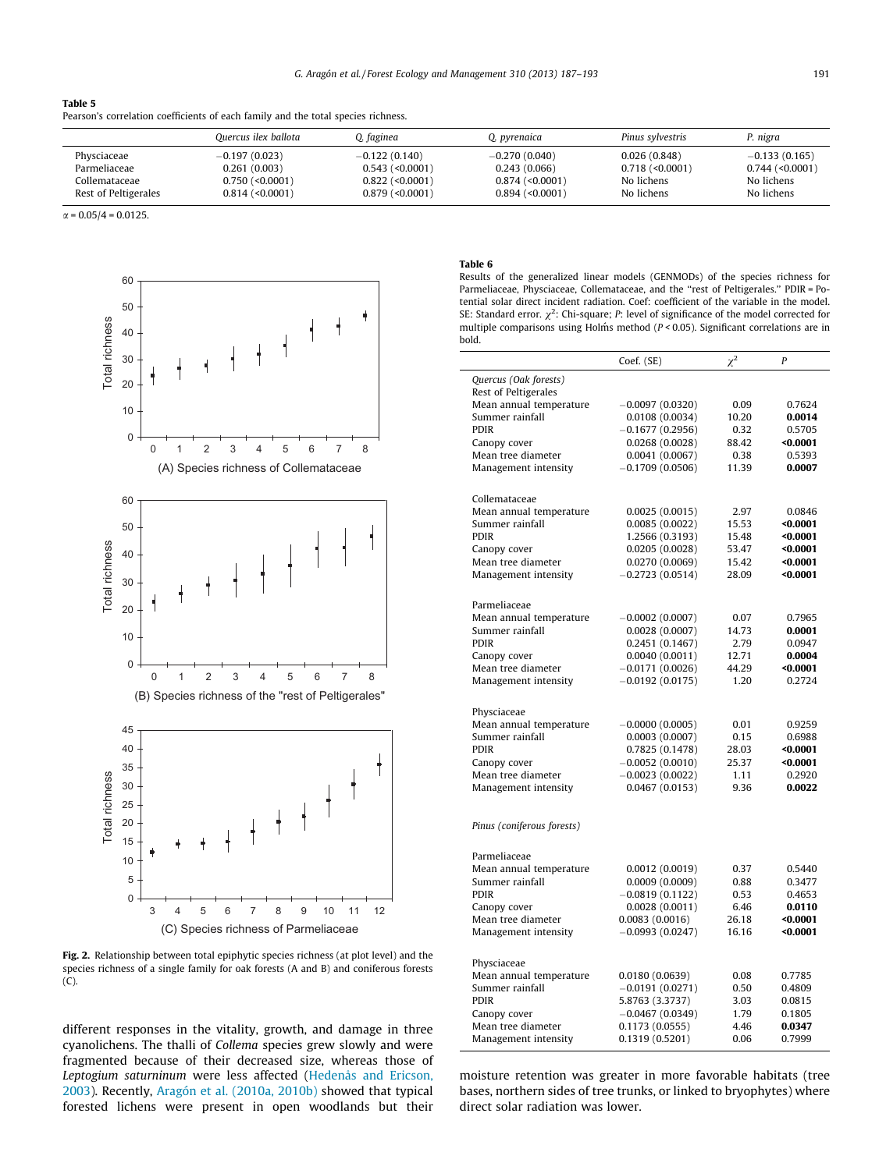### <span id="page-4-0"></span>Table 5 Pearson's correlation coefficients of each family and the total species richness.

|                      | Ouercus ilex ballota | 0. faginea            | O. pyrenaica          | Pinus sylvestris  | P. nigra          |
|----------------------|----------------------|-----------------------|-----------------------|-------------------|-------------------|
| Physciaceae          | $-0.197(0.023)$      | $-0.122(0.140)$       | $-0.270(0.040)$       | 0.026(0.848)      | $-0.133(0.165)$   |
| Parmeliaceae         | 0.261(0.003)         | $0.543$ (< $0.0001$ ) | 0.243(0.066)          | $0.718$ (<0.0001) | $0.744$ (<0.0001) |
| Collemataceae        | $0.750$ (<0.0001)    | $0.822$ (<0.0001)     | $0.874$ ( $0.0001$ )  | No lichens        | No lichens        |
| Rest of Peltigerales | $0.814$ (<0.0001)    | $0.879$ (< $0.0001$ ) | $0.894$ (< $0.0001$ ) | No lichens        | No lichens        |

 $\alpha = 0.05/4 = 0.0125$ .



Fig. 2. Relationship between total epiphytic species richness (at plot level) and the species richness of a single family for oak forests (A and B) and coniferous forests (C).

different responses in the vitality, growth, and damage in three cyanolichens. The thalli of Collema species grew slowly and were fragmented because of their decreased size, whereas those of Leptogium saturninum were less affected [\(Hedenås and Ericson,](#page-6-0) [2003](#page-6-0)). Recently, [Aragón et al. \(2010a, 2010b\)](#page-5-0) showed that typical forested lichens were present in open woodlands but their

## Table 6

Results of the generalized linear models (GENMODs) of the species richness for Parmeliaceae, Physciaceae, Collemataceae, and the ''rest of Peltigerales.'' PDIR = Potential solar direct incident radiation. Coef: coefficient of the variable in the model. SE: Standard error.  $\chi^2$ : Chi-square; P: level of significance of the model corrected for multiple comparisons using Holm´s method ( $P < 0.05$ ). Significant correlations are in bold.

|                                        | Coef. (SE)                           | $\chi^2$       | P                    |
|----------------------------------------|--------------------------------------|----------------|----------------------|
| Quercus (Oak forests)                  |                                      |                |                      |
| Rest of Peltigerales                   |                                      |                |                      |
| Mean annual temperature                | $-0.0097(0.0320)$                    | 0.09           | 0.7624               |
| Summer rainfall                        | 0.0108(0.0034)                       | 10.20          | 0.0014               |
| <b>PDIR</b><br>Canopy cover            | $-0.1677(0.2956)$<br>0.0268(0.0028)  | 0.32<br>88.42  | 0.5705<br>$0.0001$   |
| Mean tree diameter                     | 0.0041(0.0067)                       | 0.38           | 0.5393               |
| Management intensity                   | $-0.1709(0.0506)$                    | 11.39          | 0.0007               |
|                                        |                                      |                |                      |
| Collemataceae                          |                                      |                |                      |
| Mean annual temperature                | 0.0025(0.0015)                       | 2.97           | 0.0846               |
| Summer rainfall                        | 0.0085(0.0022)                       | 15.53          | $0.0001$             |
| <b>PDIR</b>                            | 1.2566 (0.3193)                      | 15.48          | $0.0001$             |
| Canopy cover                           | 0.0205(0.0028)                       | 53.47          | $0.0001$             |
| Mean tree diameter                     | 0.0270 (0.0069)                      | 15.42          | $0.0001$             |
| Management intensity                   | $-0.2723(0.0514)$                    | 28.09          | $0.0001$             |
|                                        |                                      |                |                      |
| Parmeliaceae                           |                                      |                |                      |
| Mean annual temperature                | $-0.0002(0.0007)$                    | 0.07           | 0.7965               |
| Summer rainfall                        | 0.0028(0.0007)                       | 14.73          | 0.0001               |
| <b>PDIR</b>                            | 0.2451 (0.1467)                      | 2.79           | 0.0947               |
| Canopy cover                           | 0.0040(0.0011)                       | 12.71          | 0.0004               |
| Mean tree diameter                     | $-0.0171(0.0026)$                    | 44.29          | $0.0001$             |
| Management intensity                   | $-0.0192(0.0175)$                    | 1.20           | 0.2724               |
|                                        |                                      |                |                      |
| Physciaceae                            |                                      |                |                      |
| Mean annual temperature                | $-0.0000(0.0005)$                    | 0.01           | 0.9259               |
| Summer rainfall<br><b>PDIR</b>         | 0.0003(0.0007)                       | 0.15           | 0.6988               |
| Canopy cover                           | 0.7825 (0.1478)<br>$-0.0052(0.0010)$ | 28.03<br>25.37 | $0.0001$<br>$0.0001$ |
| Mean tree diameter                     | $-0.0023(0.0022)$                    | 1.11           | 0.2920               |
| Management intensity                   | 0.0467(0.0153)                       | 9.36           | 0.0022               |
|                                        |                                      |                |                      |
|                                        |                                      |                |                      |
| Pinus (coniferous forests)             |                                      |                |                      |
|                                        |                                      |                |                      |
| Parmeliaceae                           |                                      |                |                      |
| Mean annual temperature                | 0.0012(0.0019)                       | 0.37           | 0.5440               |
| Summer rainfall                        | 0.0009(0.0009)                       | 0.88           | 0.3477               |
| <b>PDIR</b>                            | $-0.0819(0.1122)$                    | 0.53           | 0.4653               |
| Canopy cover<br>Mean tree diameter     | 0.0028(0.0011)<br>0.0083(0.0016)     | 6.46<br>26.18  | 0.0110<br>$0.0001$   |
| Management intensity                   | $-0.0993(0.0247)$                    | 16.16          | $0.0001$             |
|                                        |                                      |                |                      |
|                                        |                                      |                |                      |
| Physciaceae<br>Mean annual temperature | 0.0180(0.0639)                       | 0.08           | 0.7785               |
| Summer rainfall                        | $-0.0191(0.0271)$                    | 0.50           | 0.4809               |
| <b>PDIR</b>                            | 5.8763 (3.3737)                      | 3.03           | 0.0815               |
| Canopy cover                           | $-0.0467(0.0349)$                    | 1.79           | 0.1805               |
| Mean tree diameter                     | 0.1173(0.0555)                       | 4.46           | 0.0347               |
| Management intensity                   | 0.1319(0.5201)                       | 0.06           | 0.7999               |
|                                        |                                      |                |                      |

moisture retention was greater in more favorable habitats (tree bases, northern sides of tree trunks, or linked to bryophytes) where direct solar radiation was lower.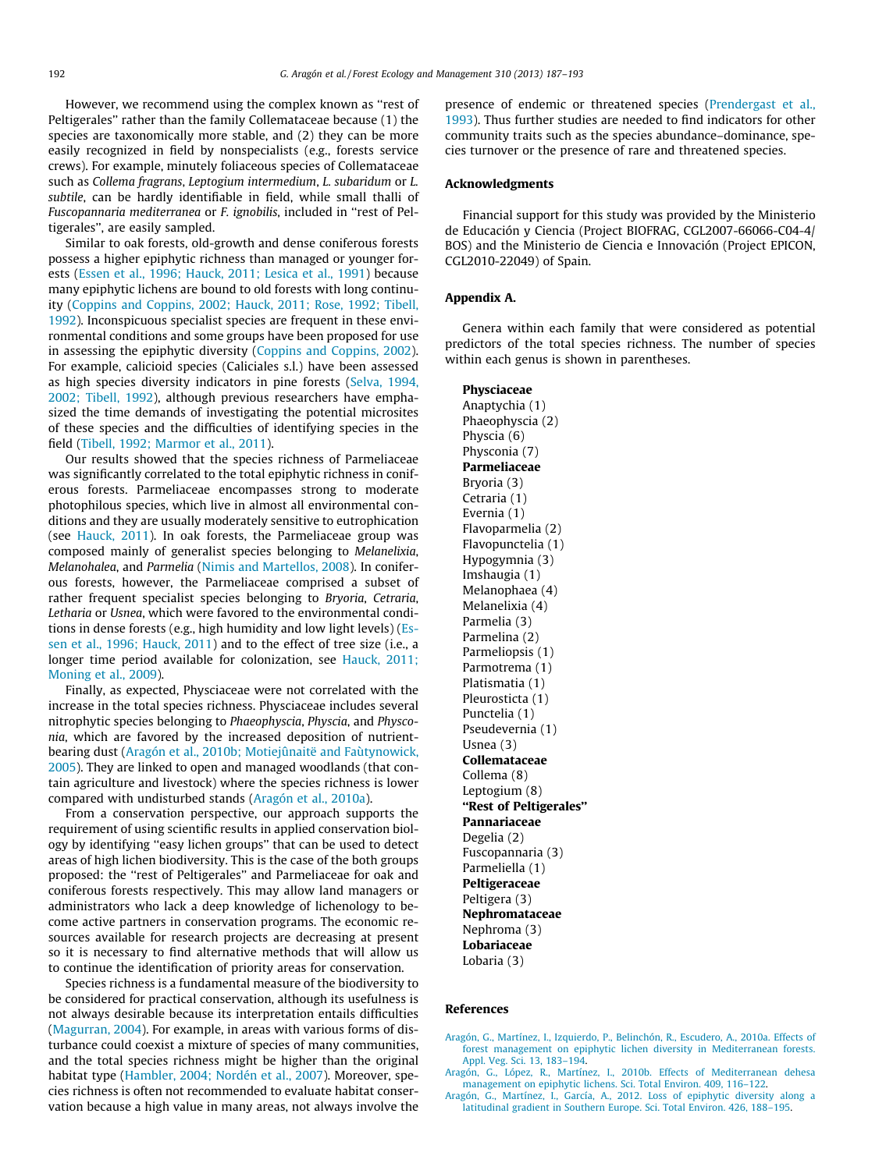<span id="page-5-0"></span>However, we recommend using the complex known as ''rest of Peltigerales'' rather than the family Collemataceae because (1) the species are taxonomically more stable, and (2) they can be more easily recognized in field by nonspecialists (e.g., forests service crews). For example, minutely foliaceous species of Collemataceae such as Collema fragrans, Leptogium intermedium, L. subaridum or L. subtile, can be hardly identifiable in field, while small thalli of Fuscopannaria mediterranea or F. ignobilis, included in ''rest of Peltigerales'', are easily sampled.

Similar to oak forests, old-growth and dense coniferous forests possess a higher epiphytic richness than managed or younger forests [\(Essen et al., 1996; Hauck, 2011; Lesica et al., 1991\)](#page-6-0) because many epiphytic lichens are bound to old forests with long continuity ([Coppins and Coppins, 2002; Hauck, 2011; Rose, 1992; Tibell,](#page-6-0) [1992\)](#page-6-0). Inconspicuous specialist species are frequent in these environmental conditions and some groups have been proposed for use in assessing the epiphytic diversity [\(Coppins and Coppins, 2002\)](#page-6-0). For example, calicioid species (Caliciales s.l.) have been assessed as high species diversity indicators in pine forests ([Selva, 1994,](#page-6-0) [2002; Tibell, 1992\)](#page-6-0), although previous researchers have emphasized the time demands of investigating the potential microsites of these species and the difficulties of identifying species in the field [\(Tibell, 1992; Marmor et al., 2011\)](#page-6-0).

Our results showed that the species richness of Parmeliaceae was significantly correlated to the total epiphytic richness in coniferous forests. Parmeliaceae encompasses strong to moderate photophilous species, which live in almost all environmental conditions and they are usually moderately sensitive to eutrophication (see [Hauck, 2011](#page-6-0)). In oak forests, the Parmeliaceae group was composed mainly of generalist species belonging to Melanelixia, Melanohalea, and Parmelia ([Nimis and Martellos, 2008\)](#page-6-0). In coniferous forests, however, the Parmeliaceae comprised a subset of rather frequent specialist species belonging to Bryoria, Cetraria, Letharia or Usnea, which were favored to the environmental conditions in dense forests (e.g., high humidity and low light levels) [\(Es](#page-6-0)[sen et al., 1996; Hauck, 2011](#page-6-0)) and to the effect of tree size (i.e., a longer time period available for colonization, see [Hauck, 2011;](#page-6-0) [Moning et al., 2009](#page-6-0)).

Finally, as expected, Physciaceae were not correlated with the increase in the total species richness. Physciaceae includes several nitrophytic species belonging to Phaeophyscia, Physcia, and Physconia, which are favored by the increased deposition of nutrientbearing dust (Aragón et al., 2010b; Motiejûnaitë and Faùtynowick, 2005). They are linked to open and managed woodlands (that contain agriculture and livestock) where the species richness is lower compared with undisturbed stands (Aragón et al., 2010a).

From a conservation perspective, our approach supports the requirement of using scientific results in applied conservation biology by identifying ''easy lichen groups'' that can be used to detect areas of high lichen biodiversity. This is the case of the both groups proposed: the ''rest of Peltigerales'' and Parmeliaceae for oak and coniferous forests respectively. This may allow land managers or administrators who lack a deep knowledge of lichenology to become active partners in conservation programs. The economic resources available for research projects are decreasing at present so it is necessary to find alternative methods that will allow us to continue the identification of priority areas for conservation.

Species richness is a fundamental measure of the biodiversity to be considered for practical conservation, although its usefulness is not always desirable because its interpretation entails difficulties ([Magurran, 2004\)](#page-6-0). For example, in areas with various forms of disturbance could coexist a mixture of species of many communities, and the total species richness might be higher than the original habitat type ([Hambler, 2004; Nordén et al., 2007](#page-6-0)). Moreover, species richness is often not recommended to evaluate habitat conservation because a high value in many areas, not always involve the presence of endemic or threatened species ([Prendergast et al.,](#page-6-0) [1993\)](#page-6-0). Thus further studies are needed to find indicators for other community traits such as the species abundance–dominance, species turnover or the presence of rare and threatened species.

## Acknowledgments

Financial support for this study was provided by the Ministerio de Educación y Ciencia (Project BIOFRAG, CGL2007-66066-C04-4/ BOS) and the Ministerio de Ciencia e Innovación (Project EPICON, CGL2010-22049) of Spain.

## Appendix A.

Genera within each family that were considered as potential predictors of the total species richness. The number of species within each genus is shown in parentheses.

Physciaceae Anaptychia (1) Phaeophyscia (2) Physcia (6) Physconia (7) Parmeliaceae Bryoria (3) Cetraria (1) Evernia (1) Flavoparmelia (2) Flavopunctelia (1) Hypogymnia (3) Imshaugia (1) Melanophaea (4) Melanelixia (4) Parmelia (3) Parmelina (2) Parmeliopsis (1) Parmotrema (1) Platismatia (1) Pleurosticta (1) Punctelia (1) Pseudevernia (1) Usnea (3) Collemataceae Collema (8) Leptogium (8) ''Rest of Peltigerales'' Pannariaceae Degelia (2) Fuscopannaria (3) Parmeliella (1) Peltigeraceae Peltigera (3) Nephromataceae Nephroma (3) Lobariaceae Lobaria (3)

## References

- [Aragón, G., Martínez, I., Izquierdo, P., Belinchón, R., Escudero, A., 2010a. Effects of](http://refhub.elsevier.com/S0378-1127(13)00539-2/h0015) [forest management on epiphytic lichen diversity in Mediterranean forests.](http://refhub.elsevier.com/S0378-1127(13)00539-2/h0015) [Appl. Veg. Sci. 13, 183–194.](http://refhub.elsevier.com/S0378-1127(13)00539-2/h0015)
- [Aragón, G., López, R., Martínez, I., 2010b. Effects of Mediterranean dehesa](http://refhub.elsevier.com/S0378-1127(13)00539-2/h0005) [management on epiphytic lichens. Sci. Total Environ. 409, 116–122](http://refhub.elsevier.com/S0378-1127(13)00539-2/h0005).
- [Aragón, G., Martínez, I., García, A., 2012. Loss of epiphytic diversity along a](http://refhub.elsevier.com/S0378-1127(13)00539-2/h0010) [latitudinal gradient in Southern Europe. Sci. Total Environ. 426, 188–195.](http://refhub.elsevier.com/S0378-1127(13)00539-2/h0010)